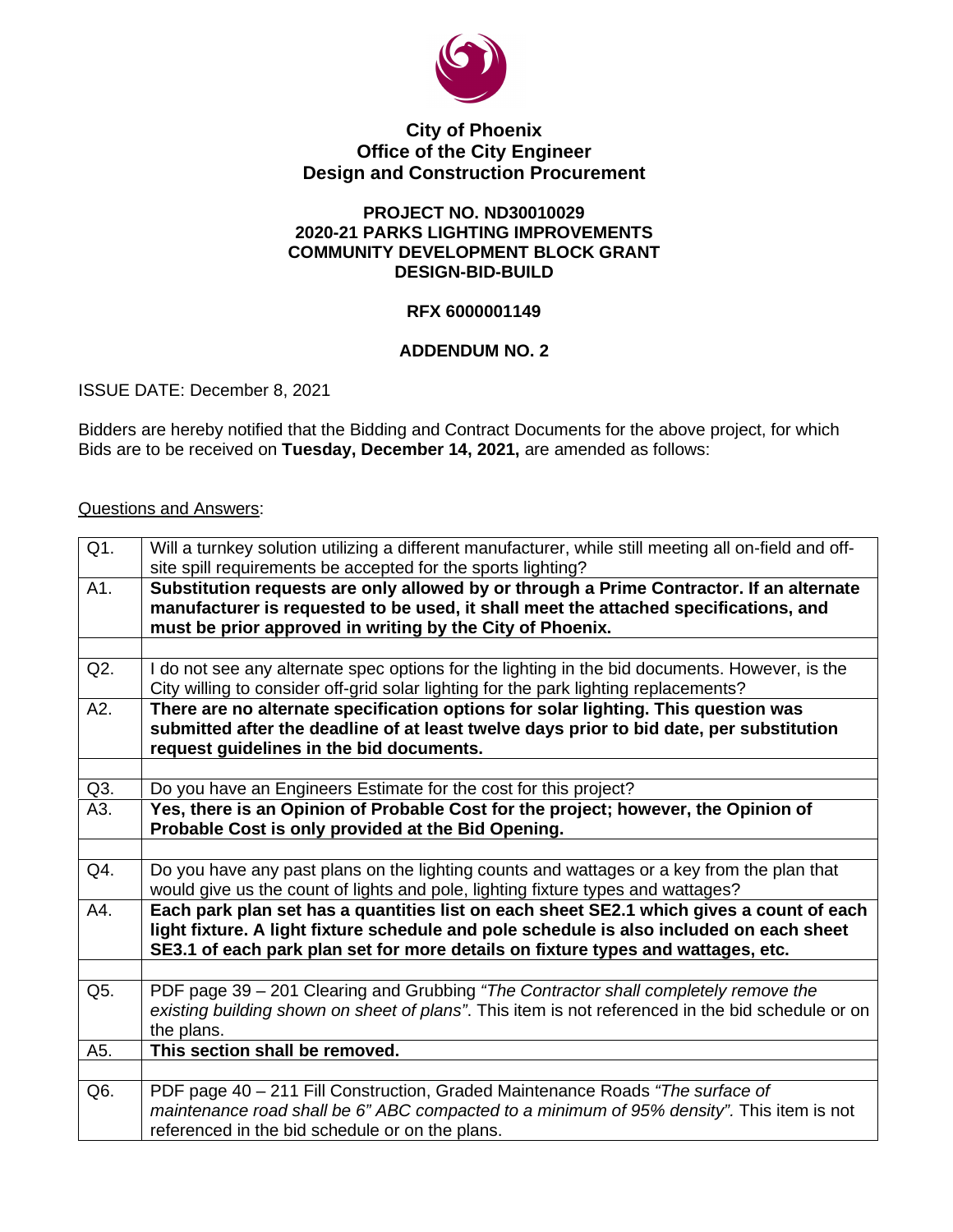

### **City of Phoenix Office of the City Engineer Design and Construction Procurement**

#### **PROJECT NO. ND30010029 2020-21 PARKS LIGHTING IMPROVEMENTS COMMUNITY DEVELOPMENT BLOCK GRANT DESIGN-BID-BUILD**

# **RFX 6000001149**

# **ADDENDUM NO. 2**

ISSUE DATE: December 8, 2021

Bidders are hereby notified that the Bidding and Contract Documents for the above project, for which Bids are to be received on **Tuesday, December 14, 2021,** are amended as follows:

### Questions and Answers:

| Q1. | Will a turnkey solution utilizing a different manufacturer, while still meeting all on-field and off-<br>site spill requirements be accepted for the sports lighting?                                                                                                    |
|-----|--------------------------------------------------------------------------------------------------------------------------------------------------------------------------------------------------------------------------------------------------------------------------|
| A1. | Substitution requests are only allowed by or through a Prime Contractor. If an alternate<br>manufacturer is requested to be used, it shall meet the attached specifications, and<br>must be prior approved in writing by the City of Phoenix.                            |
|     |                                                                                                                                                                                                                                                                          |
| Q2. | I do not see any alternate spec options for the lighting in the bid documents. However, is the<br>City willing to consider off-grid solar lighting for the park lighting replacements?                                                                                   |
| A2. | There are no alternate specification options for solar lighting. This question was<br>submitted after the deadline of at least twelve days prior to bid date, per substitution<br>request guidelines in the bid documents.                                               |
|     |                                                                                                                                                                                                                                                                          |
| Q3. | Do you have an Engineers Estimate for the cost for this project?                                                                                                                                                                                                         |
| A3. | Yes, there is an Opinion of Probable Cost for the project; however, the Opinion of<br>Probable Cost is only provided at the Bid Opening.                                                                                                                                 |
|     |                                                                                                                                                                                                                                                                          |
| Q4. | Do you have any past plans on the lighting counts and wattages or a key from the plan that<br>would give us the count of lights and pole, lighting fixture types and wattages?                                                                                           |
| A4. | Each park plan set has a quantities list on each sheet SE2.1 which gives a count of each<br>light fixture. A light fixture schedule and pole schedule is also included on each sheet<br>SE3.1 of each park plan set for more details on fixture types and wattages, etc. |
|     |                                                                                                                                                                                                                                                                          |
| Q5. | PDF page 39 - 201 Clearing and Grubbing "The Contractor shall completely remove the<br>existing building shown on sheet of plans". This item is not referenced in the bid schedule or on<br>the plans.                                                                   |
| A5. | This section shall be removed.                                                                                                                                                                                                                                           |
|     |                                                                                                                                                                                                                                                                          |
| Q6. | PDF page 40 - 211 Fill Construction, Graded Maintenance Roads "The surface of<br>maintenance road shall be 6" ABC compacted to a minimum of 95% density". This item is not<br>referenced in the bid schedule or on the plans.                                            |